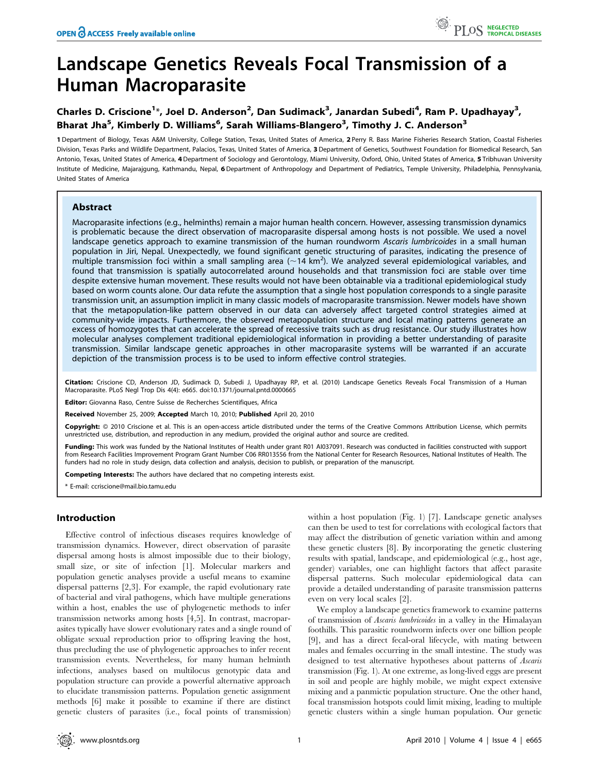# Landscape Genetics Reveals Focal Transmission of a Human Macroparasite

# Charles D. Criscione<sup>1\*</sup>, Joel D. Anderson<sup>2</sup>, Dan Sudimack<sup>3</sup>, Janardan Subedi<sup>4</sup>, Ram P. Upadhayay<sup>3</sup>, Bharat Jha<sup>5</sup>, Kimberly D. Williams<sup>6</sup>, Sarah Williams-Blangero<sup>3</sup>, Timothy J. C. Anderson<sup>3</sup>

1 Department of Biology, Texas A&M University, College Station, Texas, United States of America, 2 Perry R. Bass Marine Fisheries Research Station, Coastal Fisheries Division, Texas Parks and Wildlife Department, Palacios, Texas, United States of America, 3 Department of Genetics, Southwest Foundation for Biomedical Research, San Antonio, Texas, United States of America, 4 Department of Sociology and Gerontology, Miami University, Oxford, Ohio, United States of America, 5 Tribhuvan University Institute of Medicine, Majarajgung, Kathmandu, Nepal, 6 Department of Anthropology and Department of Pediatrics, Temple University, Philadelphia, Pennsylvania, United States of America

# Abstract

Macroparasite infections (e.g., helminths) remain a major human health concern. However, assessing transmission dynamics is problematic because the direct observation of macroparasite dispersal among hosts is not possible. We used a novel landscape genetics approach to examine transmission of the human roundworm Ascaris lumbricoides in a small human population in Jiri, Nepal. Unexpectedly, we found significant genetic structuring of parasites, indicating the presence of multiple transmission foci within a small sampling area ( $\sim$ 14 km<sup>2</sup>). We analyzed several epidemiological variables, and found that transmission is spatially autocorrelated around households and that transmission foci are stable over time despite extensive human movement. These results would not have been obtainable via a traditional epidemiological study based on worm counts alone. Our data refute the assumption that a single host population corresponds to a single parasite transmission unit, an assumption implicit in many classic models of macroparasite transmission. Newer models have shown that the metapopulation-like pattern observed in our data can adversely affect targeted control strategies aimed at community-wide impacts. Furthermore, the observed metapopulation structure and local mating patterns generate an excess of homozygotes that can accelerate the spread of recessive traits such as drug resistance. Our study illustrates how molecular analyses complement traditional epidemiological information in providing a better understanding of parasite transmission. Similar landscape genetic approaches in other macroparasite systems will be warranted if an accurate depiction of the transmission process is to be used to inform effective control strategies.

Citation: Criscione CD, Anderson JD, Sudimack D, Subedi J, Upadhayay RP, et al. (2010) Landscape Genetics Reveals Focal Transmission of a Human Macroparasite. PLoS Negl Trop Dis 4(4): e665. doi:10.1371/journal.pntd.0000665

Editor: Giovanna Raso, Centre Suisse de Recherches Scientifiques, Africa

Received November 25, 2009; Accepted March 10, 2010; Published April 20, 2010

Copyright: © 2010 Criscione et al. This is an open-access article distributed under the terms of the Creative Commons Attribution License, which permits unrestricted use, distribution, and reproduction in any medium, provided the original author and source are credited.

Funding: This work was funded by the National Institutes of Health under grant R01 AI037091. Research was conducted in facilities constructed with support from Research Facilities Improvement Program Grant Number C06 RR013556 from the National Center for Research Resources, National Institutes of Health. The funders had no role in study design, data collection and analysis, decision to publish, or preparation of the manuscript.

Competing Interests: The authors have declared that no competing interests exist.

\* E-mail: ccriscione@mail.bio.tamu.edu

# Introduction

Effective control of infectious diseases requires knowledge of transmission dynamics. However, direct observation of parasite dispersal among hosts is almost impossible due to their biology, small size, or site of infection [1]. Molecular markers and population genetic analyses provide a useful means to examine dispersal patterns [2,3]. For example, the rapid evolutionary rate of bacterial and viral pathogens, which have multiple generations within a host, enables the use of phylogenetic methods to infer transmission networks among hosts [4,5]. In contrast, macroparasites typically have slower evolutionary rates and a single round of obligate sexual reproduction prior to offspring leaving the host, thus precluding the use of phylogenetic approaches to infer recent transmission events. Nevertheless, for many human helminth infections, analyses based on multilocus genotypic data and population structure can provide a powerful alternative approach to elucidate transmission patterns. Population genetic assignment methods [6] make it possible to examine if there are distinct genetic clusters of parasites (i.e., focal points of transmission)

within a host population (Fig. 1) [7]. Landscape genetic analyses can then be used to test for correlations with ecological factors that may affect the distribution of genetic variation within and among these genetic clusters [8]. By incorporating the genetic clustering results with spatial, landscape, and epidemiological (e.g., host age, gender) variables, one can highlight factors that affect parasite dispersal patterns. Such molecular epidemiological data can provide a detailed understanding of parasite transmission patterns even on very local scales [2].

We employ a landscape genetics framework to examine patterns of transmission of Ascaris lumbricoides in a valley in the Himalayan foothills. This parasitic roundworm infects over one billion people [9], and has a direct fecal-oral lifecycle, with mating between males and females occurring in the small intestine. The study was designed to test alternative hypotheses about patterns of Ascaris transmission (Fig. 1). At one extreme, as long-lived eggs are present in soil and people are highly mobile, we might expect extensive mixing and a panmictic population structure. One the other hand, focal transmission hotspots could limit mixing, leading to multiple genetic clusters within a single human population. Our genetic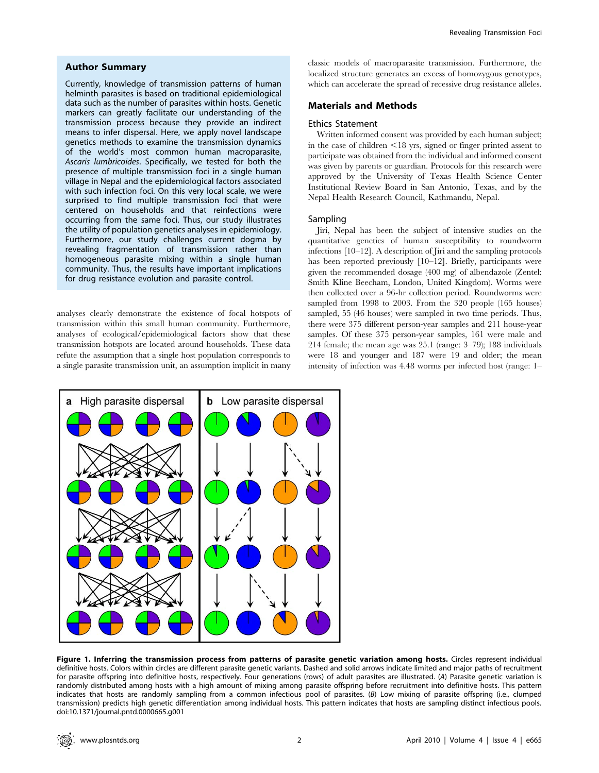# Author Summary

Currently, knowledge of transmission patterns of human helminth parasites is based on traditional epidemiological data such as the number of parasites within hosts. Genetic markers can greatly facilitate our understanding of the transmission process because they provide an indirect means to infer dispersal. Here, we apply novel landscape genetics methods to examine the transmission dynamics of the world's most common human macroparasite, Ascaris lumbricoides. Specifically, we tested for both the presence of multiple transmission foci in a single human village in Nepal and the epidemiological factors associated with such infection foci. On this very local scale, we were surprised to find multiple transmission foci that were centered on households and that reinfections were occurring from the same foci. Thus, our study illustrates the utility of population genetics analyses in epidemiology. Furthermore, our study challenges current dogma by revealing fragmentation of transmission rather than homogeneous parasite mixing within a single human community. Thus, the results have important implications for drug resistance evolution and parasite control.

analyses clearly demonstrate the existence of focal hotspots of transmission within this small human community. Furthermore, analyses of ecological/epidemiological factors show that these transmission hotspots are located around households. These data refute the assumption that a single host population corresponds to a single parasite transmission unit, an assumption implicit in many classic models of macroparasite transmission. Furthermore, the localized structure generates an excess of homozygous genotypes, which can accelerate the spread of recessive drug resistance alleles.

# Materials and Methods

# Ethics Statement

Written informed consent was provided by each human subject; in the case of children  $\leq$ 18 yrs, signed or finger printed assent to participate was obtained from the individual and informed consent was given by parents or guardian. Protocols for this research were approved by the University of Texas Health Science Center Institutional Review Board in San Antonio, Texas, and by the Nepal Health Research Council, Kathmandu, Nepal.

# Sampling

Jiri, Nepal has been the subject of intensive studies on the quantitative genetics of human susceptibility to roundworm infections [10–12]. A description of Jiri and the sampling protocols has been reported previously [10–12]. Briefly, participants were given the recommended dosage (400 mg) of albendazole (Zentel; Smith Kline Beecham, London, United Kingdom). Worms were then collected over a 96-hr collection period. Roundworms were sampled from 1998 to 2003. From the 320 people (165 houses) sampled, 55 (46 houses) were sampled in two time periods. Thus, there were 375 different person-year samples and 211 house-year samples. Of these 375 person-year samples, 161 were male and 214 female; the mean age was 25.1 (range: 3–79); 188 individuals were 18 and younger and 187 were 19 and older; the mean intensity of infection was 4.48 worms per infected host (range: 1–



Figure 1. Inferring the transmission process from patterns of parasite genetic variation among hosts. Circles represent individual definitive hosts. Colors within circles are different parasite genetic variants. Dashed and solid arrows indicate limited and major paths of recruitment for parasite offspring into definitive hosts, respectively. Four generations (rows) of adult parasites are illustrated. (A) Parasite genetic variation is randomly distributed among hosts with a high amount of mixing among parasite offspring before recruitment into definitive hosts. This pattern indicates that hosts are randomly sampling from a common infectious pool of parasites. (B) Low mixing of parasite offspring (i.e., clumped transmission) predicts high genetic differentiation among individual hosts. This pattern indicates that hosts are sampling distinct infectious pools. doi:10.1371/journal.pntd.0000665.g001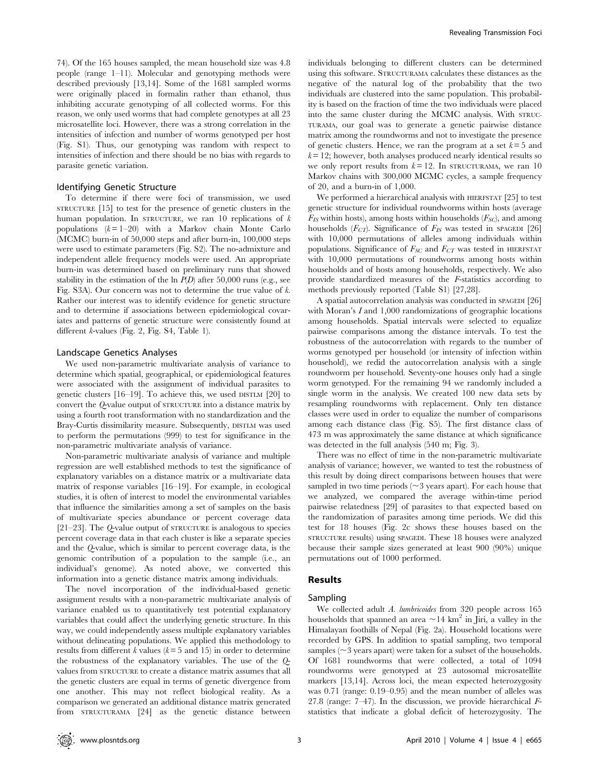74). Of the 165 houses sampled, the mean household size was 4.8 people (range 1–11). Molecular and genotyping methods were described previously [13,14]. Some of the 1681 sampled worms were originally placed in formalin rather than ethanol, thus inhibiting accurate genotyping of all collected worms. For this reason, we only used worms that had complete genotypes at all 23 microsatellite loci. However, there was a strong correlation in the intensities of infection and number of worms genotyped per host (Fig. S1). Thus, our genotyping was random with respect to intensities of infection and there should be no bias with regards to parasite genetic variation.

#### Identifying Genetic Structure

To determine if there were foci of transmission, we used STRUCTURE [15] to test for the presence of genetic clusters in the human population. In STRUCTURE, we ran 10 replications of  $k$ populations  $(k=1-20)$  with a Markov chain Monte Carlo (MCMC) burn-in of 50,000 steps and after burn-in, 100,000 steps were used to estimate parameters (Fig. S2). The no-admixture and independent allele frequency models were used. An appropriate burn-in was determined based on preliminary runs that showed stability in the estimation of the ln  $P(D)$  after 50,000 runs (e.g., see Fig. S3A). Our concern was not to determine the true value of k. Rather our interest was to identify evidence for genetic structure and to determine if associations between epidemiological covariates and patterns of genetic structure were consistently found at different k-values (Fig. 2, Fig. S4, Table 1).

#### Landscape Genetics Analyses

We used non-parametric multivariate analysis of variance to determine which spatial, geographical, or epidemiological features were associated with the assignment of individual parasites to genetic clusters [16–19]. To achieve this, we used DISTLM [20] to convert the Q-value output of STRUCTURE into a distance matrix by using a fourth root transformation with no standardization and the Bray-Curtis dissimilarity measure. Subsequently, DISTLM was used to perform the permutations (999) to test for significance in the non-parametric multivariate analysis of variance.

Non-parametric multivariate analysis of variance and multiple regression are well established methods to test the significance of explanatory variables on a distance matrix or a multivariate data matrix of response variables [16–19]. For example, in ecological studies, it is often of interest to model the environmental variables that influence the similarities among a set of samples on the basis of multivariate species abundance or percent coverage data [21–23]. The Q-value output of STRUCTURE is analogous to species percent coverage data in that each cluster is like a separate species and the Q-value, which is similar to percent coverage data, is the genomic contribution of a population to the sample (i.e., an individual's genome). As noted above, we converted this information into a genetic distance matrix among individuals.

The novel incorporation of the individual-based genetic assignment results with a non-parametric multivariate analysis of variance enabled us to quantitatively test potential explanatory variables that could affect the underlying genetic structure. In this way, we could independently assess multiple explanatory variables without delineating populations. We applied this methodology to results from different k values ( $k=5$  and 15) in order to determine the robustness of the explanatory variables. The use of the Qvalues from STRUCTURE to create a distance matrix assumes that all the genetic clusters are equal in terms of genetic divergence from one another. This may not reflect biological reality. As a comparison we generated an additional distance matrix generated from STRUCTURAMA [24] as the genetic distance between individuals belonging to different clusters can be determined using this software. STRUCTURAMA calculates these distances as the negative of the natural log of the probability that the two individuals are clustered into the same population. This probability is based on the fraction of time the two individuals were placed into the same cluster during the MCMC analysis. With STRUC-TURAMA, our goal was to generate a genetic pairwise distance matrix among the roundworms and not to investigate the presence of genetic clusters. Hence, we ran the program at a set  $k=5$  and  $k = 12$ ; however, both analyses produced nearly identical results so we only report results from  $k=12$ . In STRUCTURAMA, we ran 10 Markov chains with 300,000 MCMC cycles, a sample frequency of 20, and a burn-in of 1,000.

We performed a hierarchical analysis with HIERFSTAT [25] to test genetic structure for individual roundworms within hosts (average  $F_{IS}$  within hosts), among hosts within households  $(F_{SC})$ , and among households  $(F_{CT})$ . Significance of  $F_{IS}$  was tested in SPAGEDI [26] with 10,000 permutations of alleles among individuals within populations. Significance of  $F_{SC}$  and  $F_{CT}$  was tested in HIERFSTAT with 10,000 permutations of roundworms among hosts within households and of hosts among households, respectively. We also provide standardized measures of the F-statistics according to methods previously reported (Table S1) [27,28].

A spatial autocorrelation analysis was conducted in SPAGEDI [26] with Moran's I and 1,000 randomizations of geographic locations among households. Spatial intervals were selected to equalize pairwise comparisons among the distance intervals. To test the robustness of the autocorrelation with regards to the number of worms genotyped per household (or intensity of infection within household), we redid the autocorrelation analysis with a single roundworm per household. Seventy-one houses only had a single worm genotyped. For the remaining 94 we randomly included a single worm in the analysis. We created 100 new data sets by resampling roundworms with replacement. Only ten distance classes were used in order to equalize the number of comparisons among each distance class (Fig. S5). The first distance class of 473 m was approximately the same distance at which significance was detected in the full analysis (540 m; Fig. 3).

There was no effect of time in the non-parametric multivariate analysis of variance; however, we wanted to test the robustness of this result by doing direct comparisons between houses that were sampled in two time periods ( $\sim$ 3 years apart). For each house that we analyzed, we compared the average within-time period pairwise relatedness [29] of parasites to that expected based on the randomization of parasites among time periods. We did this test for 18 houses (Fig. 2c shows these houses based on the STRUCTURE results) using SPAGEDI. These 18 houses were analyzed because their sample sizes generated at least 900 (90%) unique permutations out of 1000 performed.

#### Results

#### Sampling

We collected adult A. lumbricoides from 320 people across 165 households that spanned an area  $\sim$  14 km<sup>2</sup> in Jiri, a valley in the Himalayan foothills of Nepal (Fig. 2a). Household locations were recorded by GPS. In addition to spatial sampling, two temporal samples  $(\sim 3$  years apart) were taken for a subset of the households. Of 1681 roundworms that were collected, a total of 1094 roundworms were genotyped at 23 autosomal microsatellite markers [13,14]. Across loci, the mean expected heterozygosity was 0.71 (range: 0.19–0.95) and the mean number of alleles was 27.8 (range: 7–47). In the discussion, we provide hierarchical Fstatistics that indicate a global deficit of heterozygosity. The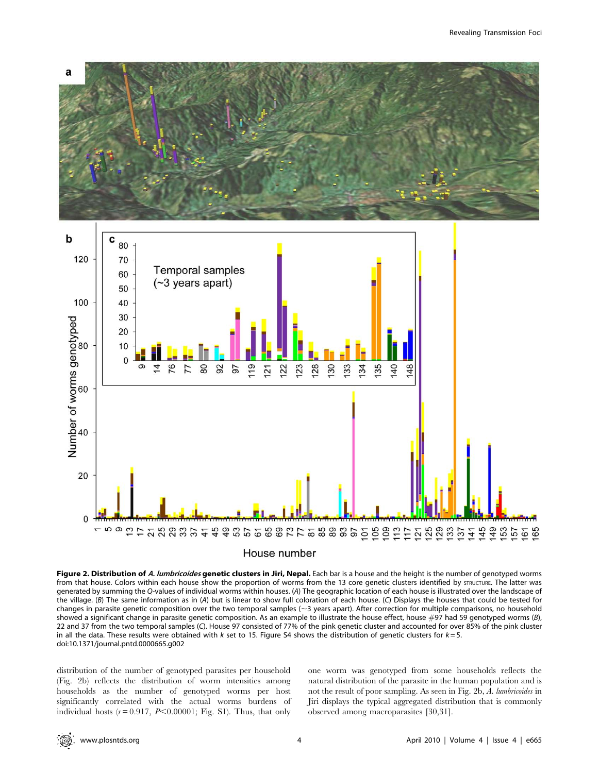

Figure 2. Distribution of A. lumbricoides genetic clusters in Jiri, Nepal. Each bar is a house and the height is the number of genotyped worms from that house. Colors within each house show the proportion of worms from the 13 core genetic clusters identified by STRUCTURE. The latter was generated by summing the Q-values of individual worms within houses. (A) The geographic location of each house is illustrated over the landscape of the village. (B) The same information as in (A) but is linear to show full coloration of each house. (C) Displays the houses that could be tested for changes in parasite genetic composition over the two temporal samples  $(\sim$ 3 years apart). After correction for multiple comparisons, no household showed a significant change in parasite genetic composition. As an example to illustrate the house effect, house #97 had 59 genotyped worms (B), 22 and 37 from the two temporal samples (C). House 97 consisted of 77% of the pink genetic cluster and accounted for over 85% of the pink cluster in all the data. These results were obtained with k set to 15. Figure S4 shows the distribution of genetic clusters for  $k = 5$ . doi:10.1371/journal.pntd.0000665.g002

distribution of the number of genotyped parasites per household (Fig. 2b) reflects the distribution of worm intensities among households as the number of genotyped worms per host significantly correlated with the actual worms burdens of individual hosts  $(r = 0.917, P < 0.00001;$  Fig. S1). Thus, that only

one worm was genotyped from some households reflects the natural distribution of the parasite in the human population and is not the result of poor sampling. As seen in Fig. 2b, A. lumbricoides in Jiri displays the typical aggregated distribution that is commonly observed among macroparasites [30,31].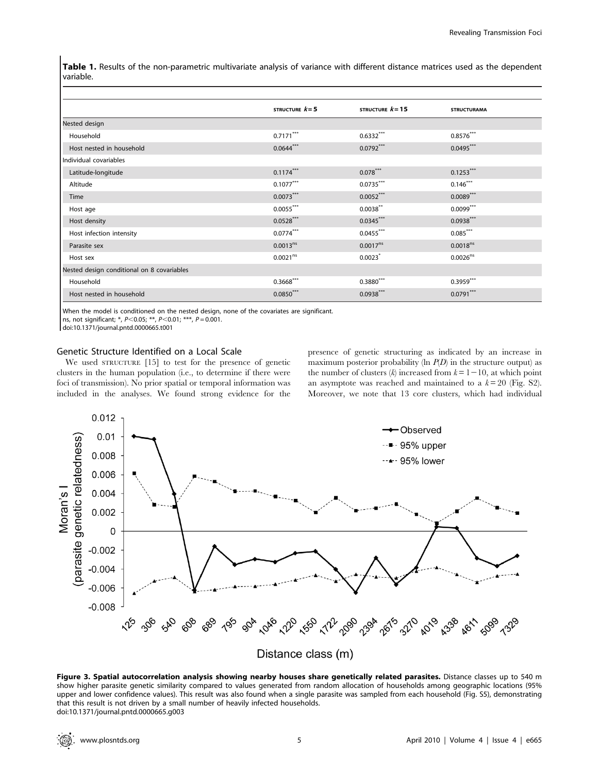Table 1. Results of the non-parametric multivariate analysis of variance with different distance matrices used as the dependent variable.

|                                            | STRUCTURE $k = 5$    | STRUCTURE $k = 15$ | <b>STRUCTURAMA</b> |
|--------------------------------------------|----------------------|--------------------|--------------------|
| Nested design                              |                      |                    |                    |
| Household                                  | $0.7171***$          | $0.6332***$        | $0.8576***$        |
| Host nested in household                   | $0.0644***$          | $0.0792***$        | $0.0495***$        |
| Individual covariables                     |                      |                    |                    |
| Latitude-longitude                         | $0.1174***$          | $0.078***$         | $0.1253***$        |
| Altitude                                   | $0.1077***$          | $0.0735***$        | $0.146***$         |
| Time                                       | $0.0073***$          | $0.0052***$        | $0.0089***$        |
| Host age                                   | $0.0055***$          | $0.0038***$        | $0.0099***$        |
| Host density                               | $0.0528***$          | $0.0345***$        | $0.0938***$        |
| Host infection intensity                   | $0.0774***$          | $0.0455***$        | $0.085***$         |
| Parasite sex                               | 0.0013 <sup>ns</sup> | $0.0017^{ns}$      | $0.0018^{ns}$      |
| Host sex                                   | 0.0021 <sup>ns</sup> | 0.0023             | $0.0026^{ns}$      |
| Nested design conditional on 8 covariables |                      |                    |                    |
| Household                                  | $0.3668***$          | $0.3880***$        | $0.3959***$        |
| Host nested in household                   | $0.0850***$          | $0.0938***$        | $0.0791***$        |

When the model is conditioned on the nested design, none of the covariates are significant.

ns, not significant; \*,  $P < 0.05$ ; \*\*,  $P < 0.01$ ; \*\*\*,  $P = 0.001$ .

doi:10.1371/journal.pntd.0000665.t001

### Genetic Structure Identified on a Local Scale

We used STRUCTURE [15] to test for the presence of genetic clusters in the human population (i.e., to determine if there were foci of transmission). No prior spatial or temporal information was included in the analyses. We found strong evidence for the presence of genetic structuring as indicated by an increase in maximum posterior probability ( $\ln P(D)$  in the structure output) as the number of clusters  $(k)$  increased from  $k = 1 - 10$ , at which point an asymptote was reached and maintained to a  $k = 20$  (Fig. S2). Moreover, we note that 13 core clusters, which had individual



Figure 3. Spatial autocorrelation analysis showing nearby houses share genetically related parasites. Distance classes up to 540 m show higher parasite genetic similarity compared to values generated from random allocation of households among geographic locations (95% upper and lower confidence values). This result was also found when a single parasite was sampled from each household (Fig. S5), demonstrating that this result is not driven by a small number of heavily infected households. doi:10.1371/journal.pntd.0000665.g003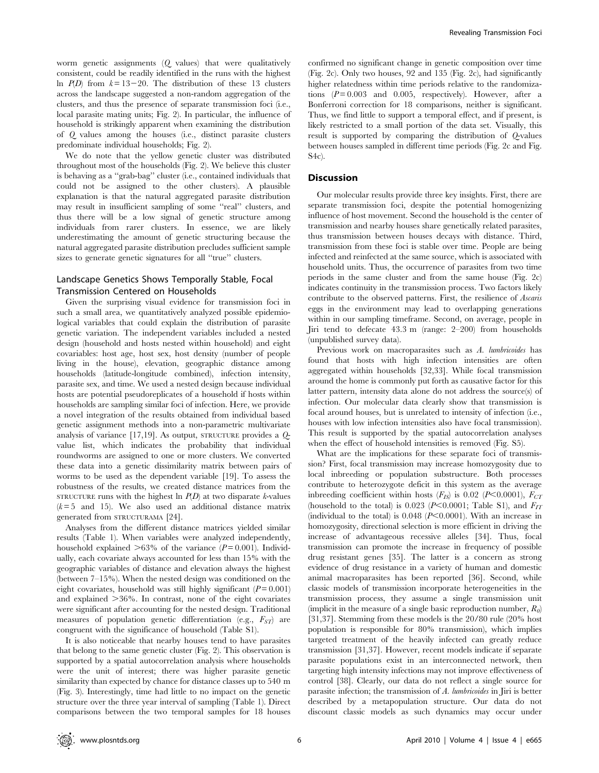worm genetic assignments  $(Q, \text{values})$  that were qualitatively consistent, could be readily identified in the runs with the highest ln  $P(D)$  from  $k=13-20$ . The distribution of these 13 clusters across the landscape suggested a non-random aggregation of the clusters, and thus the presence of separate transmission foci (i.e., local parasite mating units; Fig. 2). In particular, the influence of household is strikingly apparent when examining the distribution of Q values among the houses (i.e., distinct parasite clusters predominate individual households; Fig. 2).

We do note that the yellow genetic cluster was distributed throughout most of the households (Fig. 2). We believe this cluster is behaving as a ''grab-bag'' cluster (i.e., contained individuals that could not be assigned to the other clusters). A plausible explanation is that the natural aggregated parasite distribution may result in insufficient sampling of some ''real'' clusters, and thus there will be a low signal of genetic structure among individuals from rarer clusters. In essence, we are likely underestimating the amount of genetic structuring because the natural aggregated parasite distribution precludes sufficient sample sizes to generate genetic signatures for all ''true'' clusters.

# Landscape Genetics Shows Temporally Stable, Focal Transmission Centered on Households

Given the surprising visual evidence for transmission foci in such a small area, we quantitatively analyzed possible epidemiological variables that could explain the distribution of parasite genetic variation. The independent variables included a nested design (household and hosts nested within household) and eight covariables: host age, host sex, host density (number of people living in the house), elevation, geographic distance among households (latitude-longitude combined), infection intensity, parasite sex, and time. We used a nested design because individual hosts are potential pseudoreplicates of a household if hosts within households are sampling similar foci of infection. Here, we provide a novel integration of the results obtained from individual based genetic assignment methods into a non-parametric multivariate analysis of variance [17,19]. As output, STRUCTURE provides a Qvalue list, which indicates the probability that individual roundworms are assigned to one or more clusters. We converted these data into a genetic dissimilarity matrix between pairs of worms to be used as the dependent variable [19]. To assess the robustness of the results, we created distance matrices from the STRUCTURE runs with the highest  $\ln P(D)$  at two disparate k-values  $(k=5$  and 15). We also used an additional distance matrix generated from STRUCTURAMA [24].

Analyses from the different distance matrices yielded similar results (Table 1). When variables were analyzed independently, household explained  $>63\%$  of the variance ( $P = 0.001$ ). Individually, each covariate always accounted for less than 15% with the geographic variables of distance and elevation always the highest (between 7–15%). When the nested design was conditioned on the eight covariates, household was still highly significant  $(P = 0.001)$ and explained  $>36\%$ . In contrast, none of the eight covariates were significant after accounting for the nested design. Traditional measures of population genetic differentiation (e.g.,  $F_{ST}$ ) are congruent with the significance of household (Table S1).

It is also noticeable that nearby houses tend to have parasites that belong to the same genetic cluster (Fig. 2). This observation is supported by a spatial autocorrelation analysis where households were the unit of interest; there was higher parasite genetic similarity than expected by chance for distance classes up to 540 m (Fig. 3). Interestingly, time had little to no impact on the genetic structure over the three year interval of sampling (Table 1). Direct comparisons between the two temporal samples for 18 houses

confirmed no significant change in genetic composition over time (Fig. 2c). Only two houses, 92 and 135 (Fig. 2c), had significantly higher relatedness within time periods relative to the randomizations  $(P = 0.003$  and 0.005, respectively). However, after a Bonferroni correction for 18 comparisons, neither is significant. Thus, we find little to support a temporal effect, and if present, is likely restricted to a small portion of the data set. Visually, this result is supported by comparing the distribution of Q-values between houses sampled in different time periods (Fig. 2c and Fig. S4c).

# Discussion

Our molecular results provide three key insights. First, there are separate transmission foci, despite the potential homogenizing influence of host movement. Second the household is the center of transmission and nearby houses share genetically related parasites, thus transmission between houses decays with distance. Third, transmission from these foci is stable over time. People are being infected and reinfected at the same source, which is associated with household units. Thus, the occurrence of parasites from two time periods in the same cluster and from the same house (Fig. 2c) indicates continuity in the transmission process. Two factors likely contribute to the observed patterns. First, the resilience of Ascaris eggs in the environment may lead to overlapping generations within in our sampling timeframe. Second, on average, people in Jiri tend to defecate 43.3 m (range: 2–200) from households (unpublished survey data).

Previous work on macroparasites such as A. lumbricoides has found that hosts with high infection intensities are often aggregated within households [32,33]. While focal transmission around the home is commonly put forth as causative factor for this latter pattern, intensity data alone do not address the source(s) of infection. Our molecular data clearly show that transmission is focal around houses, but is unrelated to intensity of infection (i.e., houses with low infection intensities also have focal transmission). This result is supported by the spatial autocorrelation analyses when the effect of household intensities is removed (Fig. S5).

What are the implications for these separate foci of transmission? First, focal transmission may increase homozygosity due to local inbreeding or population substructure. Both processes contribute to heterozygote deficit in this system as the average indreeding coefficient within hosts  $(F_{IS})$  is 0.02 (P<0.0001),  $F_{CT}$ (household to the total) is 0.023 ( $P<0.0001$ ; Table S1), and  $F_{IT}$ (individual to the total) is  $0.048$  ( $P<0.0001$ ). With an increase in homozygosity, directional selection is more efficient in driving the increase of advantageous recessive alleles [34]. Thus, focal transmission can promote the increase in frequency of possible drug resistant genes [35]. The latter is a concern as strong evidence of drug resistance in a variety of human and domestic animal macroparasites has been reported [36]. Second, while classic models of transmission incorporate heterogeneities in the transmission process, they assume a single transmission unit (implicit in the measure of a single basic reproduction number,  $R_0$ ) [31,37]. Stemming from these models is the 20/80 rule (20% host population is responsible for 80% transmission), which implies targeted treatment of the heavily infected can greatly reduce transmission [31,37]. However, recent models indicate if separate parasite populations exist in an interconnected network, then targeting high intensity infections may not improve effectiveness of control [38]. Clearly, our data do not reflect a single source for parasite infection; the transmission of A. lumbricoides in Jiri is better described by a metapopulation structure. Our data do not discount classic models as such dynamics may occur under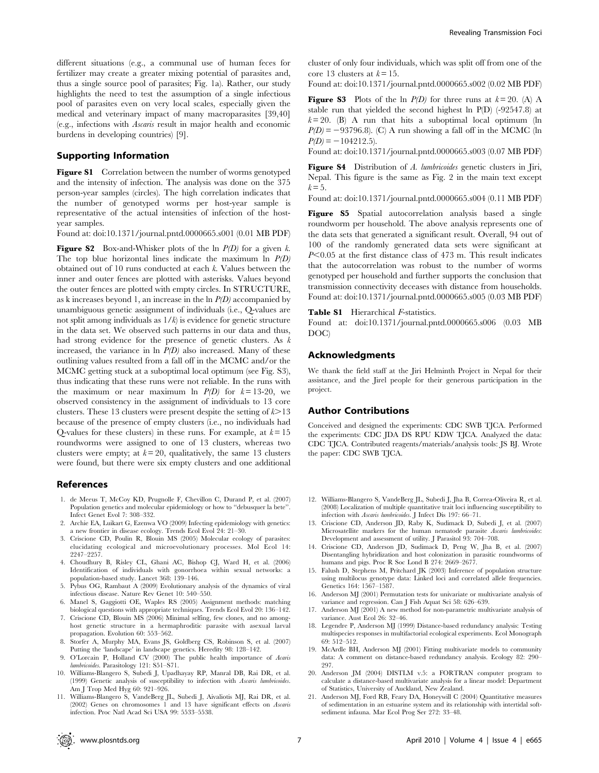different situations (e.g., a communal use of human feces for fertilizer may create a greater mixing potential of parasites and, thus a single source pool of parasites; Fig. 1a). Rather, our study highlights the need to test the assumption of a single infectious pool of parasites even on very local scales, especially given the medical and veterinary impact of many macroparasites [39,40] (e.g., infections with Ascaris result in major health and economic burdens in developing countries) [9].

#### Supporting Information

Figure S1 Correlation between the number of worms genotyped and the intensity of infection. The analysis was done on the 375 person-year samples (circles). The high correlation indicates that the number of genotyped worms per host-year sample is representative of the actual intensities of infection of the hostyear samples.

Found at: doi:10.1371/journal.pntd.0000665.s001 (0.01 MB PDF)

**Figure S2** Box-and-Whisker plots of the ln  $P(D)$  for a given k. The top blue horizontal lines indicate the maximum  $\ln P(D)$ obtained out of 10 runs conducted at each k. Values between the inner and outer fences are plotted with asterisks. Values beyond the outer fences are plotted with empty circles. In STRUCTURE, as k increases beyond 1, an increase in the  $\ln P(D)$  accompanied by unambiguous genetic assignment of individuals (i.e., Q-values are not split among individuals as  $1/k$ ) is evidence for genetic structure in the data set. We observed such patterns in our data and thus, had strong evidence for the presence of genetic clusters. As k increased, the variance in  $\ln P(D)$  also increased. Many of these outlining values resulted from a fall off in the MCMC and/or the MCMC getting stuck at a suboptimal local optimum (see Fig. S3), thus indicating that these runs were not reliable. In the runs with the maximum or near maximum ln  $P(D)$  for  $k=13-20$ , we observed consistency in the assignment of individuals to 13 core clusters. These 13 clusters were present despite the setting of  $k > 13$ because of the presence of empty clusters (i.e., no individuals had Q-values for these clusters) in these runs. For example, at  $k=15$ roundworms were assigned to one of 13 clusters, whereas two clusters were empty; at  $k = 20$ , qualitatively, the same 13 clusters were found, but there were six empty clusters and one additional

#### References

- 1. de Meeus T, McCoy KD, Prugnolle F, Chevillon C, Durand P, et al. (2007) Population genetics and molecular epidemiology or how to ''debusquer la bete''. Infect Genet Evol 7: 308–332.
- 2. Archie EA, Luikart G, Ezenwa VO (2009) Infecting epidemiology with genetics: a new frontier in disease ecology. Trends Ecol Evol 24: 21–30.
- 3. Criscione CD, Poulin R, Blouin MS (2005) Molecular ecology of parasites: elucidating ecological and microevolutionary processes. Mol Ecol 14: 2247–2257.
- 4. Choudhury B, Risley CL, Ghani AC, Bishop CJ, Ward H, et al. (2006) Identification of individuals with gonorrhoea within sexual networks: a population-based study. Lancet 368: 139–146.
- 5. Pybus OG, Rambaut A (2009) Evolutionary analysis of the dynamics of viral infectious disease. Nature Rev Genet 10: 540–550.
- 6. Manel S, Gaggiotti OE, Waples RS (2005) Assignment methods: matching biological questions with appropriate techniques. Trends Ecol Evol 20: 136–142.
- 7. Criscione CD, Blouin MS (2006) Minimal selfing, few clones, and no amonghost genetic structure in a hermaphroditic parasite with asexual larval propagation. Evolution 60: 553–562.
- 8. Storfer A, Murphy MA, Evans JS, Goldberg CS, Robinson S, et al. (2007) Putting the 'landscape' in landscape genetics. Heredity 98: 128–142.
- 9. O'Lorcain P, Holland CV (2000) The public health importance of Acaris lumbricoides. Parasitology 121: S51–S71.
- 10. Williams-Blangero S, Subedi J, Upadhayay RP, Manral DB, Rai DR, et al. (1999) Genetic analysis of susceptibility to infection with Ascaris lumbricoides. Am J Trop Med Hyg 60: 921–926.
- 11. Williams-Blangero S, VandeBerg JL, Subedi J, Aivaliotis MJ, Rai DR, et al. (2002) Genes on chromosomes 1 and 13 have significant effects on Ascaris infection. Proc Natl Acad Sci USA 99: 5533–5538.

cluster of only four individuals, which was split off from one of the core 13 clusters at  $k=15$ .

Found at: doi:10.1371/journal.pntd.0000665.s002 (0.02 MB PDF)

**Figure S3** Plots of the ln  $P(D)$  for three runs at  $k = 20$ . (A) A stable run that yielded the second highest ln P(D) (-92547.8) at  $k=20$ . (B) A run that hits a suboptimal local optimum (ln  $P(D) = -93796.8$ . (C) A run showing a fall off in the MCMC (ln  $P(D) = -104212.5$ .

Found at: doi:10.1371/journal.pntd.0000665.s003 (0.07 MB PDF)

Figure S4 Distribution of A. lumbricoides genetic clusters in Jiri, Nepal. This figure is the same as Fig. 2 in the main text except  $k = 5$ .

Found at: doi:10.1371/journal.pntd.0000665.s004 (0.11 MB PDF)

Figure S5 Spatial autocorrelation analysis based a single roundworm per household. The above analysis represents one of the data sets that generated a significant result. Overall, 94 out of 100 of the randomly generated data sets were significant at  $P<0.05$  at the first distance class of 473 m. This result indicates that the autocorrelation was robust to the number of worms genotyped per household and further supports the conclusion that transmission connectivity deceases with distance from households. Found at: doi:10.1371/journal.pntd.0000665.s005 (0.03 MB PDF)

Table S1 Hierarchical F-statistics.

Found at: doi:10.1371/journal.pntd.0000665.s006 (0.03 MB DOC)

#### Acknowledgments

We thank the field staff at the Jiri Helminth Project in Nepal for their assistance, and the Jirel people for their generous participation in the project.

#### Author Contributions

Conceived and designed the experiments: CDC SWB TJCA. Performed the experiments: CDC JDA DS RPU KDW TJCA. Analyzed the data: CDC TJCA. Contributed reagents/materials/analysis tools: JS BJ. Wrote the paper: CDC SWB TJCA.

- 12. Williams-Blangero S, VandeBerg JL, Subedi J, Jha B, Correa-Oliveira R, et al. (2008) Localization of multiple quantitative trait loci influencing susceptibility to infection with Ascaris lumbricoides. J Infect Dis 197: 66–71.
- 13. Criscione CD, Anderson JD, Raby K, Sudimack D, Subedi J, et al. (2007) Microsatellite markers for the human nematode parasite Ascaris lumbricoides: Development and assessment of utility. J Parasitol 93: 704–708.
- 14. Criscione CD, Anderson JD, Sudimack D, Peng W, Jha B, et al. (2007) Disentangling hybridization and host colonization in parasitic roundworms of humans and pigs. Proc R Soc Lond B 274: 2669–2677.
- 15. Falush D, Stephens M, Pritchard JK (2003) Inference of population structure using multilocus genotype data: Linked loci and correlated allele frequencies. Genetics 164: 1567–1587.
- 16. Anderson MJ (2001) Permutation tests for univariate or multivariate analysis of variance and regression. Can J Fish Aquat Sci 58: 626–639.
- 17. Anderson MJ (2001) A new method for non-parametric multivariate analysis of variance. Aust Ecol 26: 32–46.
- 18. Legendre P, Anderson MJ (1999) Distance-based redundancy analysis: Testing multispecies responses in multifactorial ecological experiments. Ecol Monograph 69: 512–512.
- 19. McArdle BH, Anderson MJ (2001) Fitting multivariate models to community data: A comment on distance-based redundancy analysis. Ecology 82: 290– 297.
- 20. Anderson JM (2004) DISTLM v.5: a FORTRAN computer program to calculate a distance-based multivariate analysis for a linear model: Department of Statistics, University of Auckland, New Zealand.
- 21. Anderson MJ, Ford RB, Feary DA, Honeywill C (2004) Quantitative measures of sedimentation in an estuarine system and its relationship with intertidal softsediment infauna. Mar Ecol Prog Ser 272: 33–48.